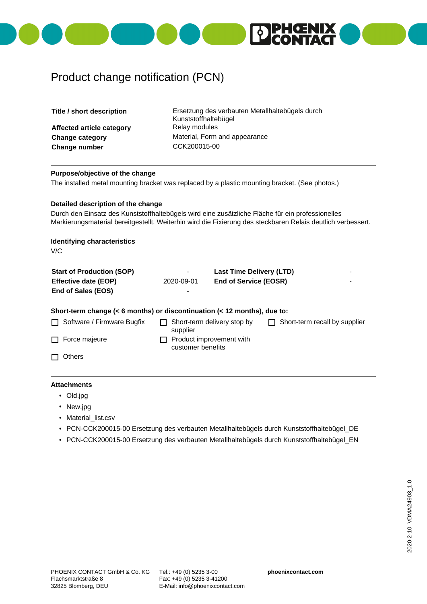

## Product change notification (PCN)

| Title / short description                                                                                                                                                                                                                             |            | Ersetzung des verbauten Metallhaltebügels durch<br>Kunststoffhaltebügel |  |  |  |  |  |
|-------------------------------------------------------------------------------------------------------------------------------------------------------------------------------------------------------------------------------------------------------|------------|-------------------------------------------------------------------------|--|--|--|--|--|
| Affected article category                                                                                                                                                                                                                             |            | Relay modules                                                           |  |  |  |  |  |
| <b>Change category</b>                                                                                                                                                                                                                                |            | Material, Form and appearance                                           |  |  |  |  |  |
| Change number                                                                                                                                                                                                                                         |            | CCK200015-00                                                            |  |  |  |  |  |
|                                                                                                                                                                                                                                                       |            |                                                                         |  |  |  |  |  |
| Purpose/objective of the change<br>The installed metal mounting bracket was replaced by a plastic mounting bracket. (See photos.)                                                                                                                     |            |                                                                         |  |  |  |  |  |
| Detailed description of the change<br>Durch den Einsatz des Kunststoffhaltebügels wird eine zusätzliche Fläche für ein professionelles<br>Markierungsmaterial bereitgestellt. Weiterhin wird die Fixierung des steckbaren Relais deutlich verbessert. |            |                                                                         |  |  |  |  |  |
| <b>Identifying characteristics</b><br>V/C                                                                                                                                                                                                             |            |                                                                         |  |  |  |  |  |
| <b>Start of Production (SOP)</b>                                                                                                                                                                                                                      |            | <b>Last Time Delivery (LTD)</b>                                         |  |  |  |  |  |
| <b>Effective date (EOP)</b><br>End of Sales (EOS)                                                                                                                                                                                                     | 2020-09-01 | <b>End of Service (EOSR)</b>                                            |  |  |  |  |  |
| Short-term change (< 6 months) or discontinuation (< 12 months), due to:                                                                                                                                                                              |            |                                                                         |  |  |  |  |  |
| Software / Firmware Bugfix                                                                                                                                                                                                                            | supplier   | Short-term delivery stop by<br>Short-term recall by supplier            |  |  |  |  |  |
| Force majeure                                                                                                                                                                                                                                         |            | Product improvement with<br>customer benefits                           |  |  |  |  |  |
| <b>Others</b>                                                                                                                                                                                                                                         |            |                                                                         |  |  |  |  |  |

## **Attachments**

- Old.jpg
- New.jpg
- Material\_list.csv
- PCN-CCK200015-00 Ersetzung des verbauten Metallhaltebügels durch Kunststoffhaltebügel\_DE
- PCN-CCK200015-00 Ersetzung des verbauten Metallhaltebügels durch Kunststoffhaltebügel\_EN